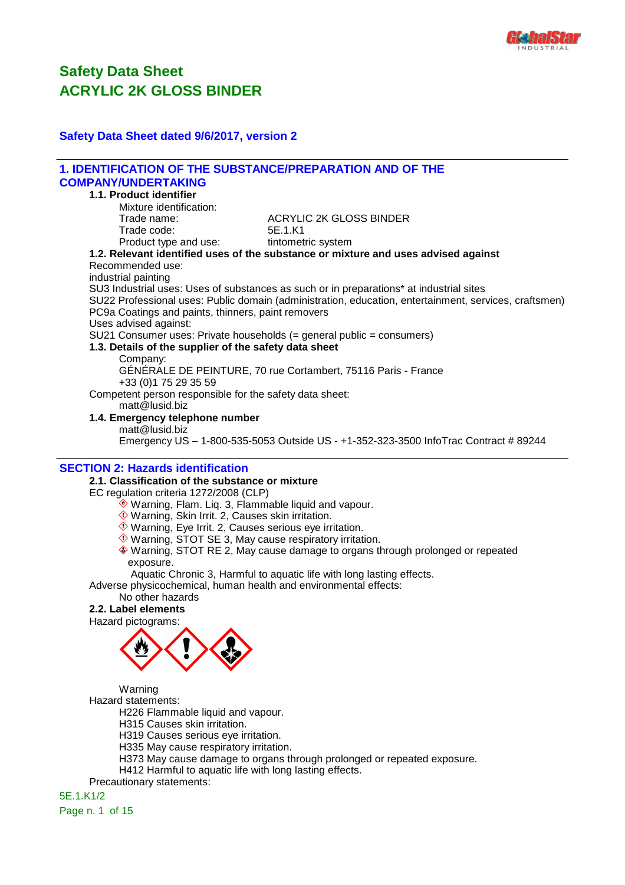

## **Safety Data Sheet dated 9/6/2017, version 2**

| <b>1. IDENTIFICATION OF THE SUBSTANCE/PREPARATION AND OF THE</b>                                                                                                                                                                                            |                                                                                                       |
|-------------------------------------------------------------------------------------------------------------------------------------------------------------------------------------------------------------------------------------------------------------|-------------------------------------------------------------------------------------------------------|
| <b>COMPANY/UNDERTAKING</b>                                                                                                                                                                                                                                  |                                                                                                       |
| 1.1. Product identifier                                                                                                                                                                                                                                     |                                                                                                       |
| Mixture identification:                                                                                                                                                                                                                                     |                                                                                                       |
| Trade name:                                                                                                                                                                                                                                                 | <b>ACRYLIC 2K GLOSS BINDER</b>                                                                        |
| Trade code:                                                                                                                                                                                                                                                 | 5E.1.K1                                                                                               |
| Product type and use:                                                                                                                                                                                                                                       | tintometric system                                                                                    |
|                                                                                                                                                                                                                                                             | 1.2. Relevant identified uses of the substance or mixture and uses advised against                    |
| Recommended use:                                                                                                                                                                                                                                            |                                                                                                       |
| industrial painting                                                                                                                                                                                                                                         |                                                                                                       |
|                                                                                                                                                                                                                                                             | SU3 Industrial uses: Uses of substances as such or in preparations* at industrial sites               |
|                                                                                                                                                                                                                                                             | SU22 Professional uses: Public domain (administration, education, entertainment, services, craftsmen) |
| PC9a Coatings and paints, thinners, paint removers                                                                                                                                                                                                          |                                                                                                       |
| Uses advised against:                                                                                                                                                                                                                                       |                                                                                                       |
| SU21 Consumer uses: Private households (= general public = consumers)                                                                                                                                                                                       |                                                                                                       |
| 1.3. Details of the supplier of the safety data sheet                                                                                                                                                                                                       |                                                                                                       |
| Company:                                                                                                                                                                                                                                                    |                                                                                                       |
|                                                                                                                                                                                                                                                             | GÉNÉRALE DE PEINTURE, 70 rue Cortambert, 75116 Paris - France                                         |
| +33 (0) 175 29 35 59                                                                                                                                                                                                                                        |                                                                                                       |
| Competent person responsible for the safety data sheet:                                                                                                                                                                                                     |                                                                                                       |
| matt@lusid.biz                                                                                                                                                                                                                                              |                                                                                                       |
| 1.4. Emergency telephone number                                                                                                                                                                                                                             |                                                                                                       |
| matt@lusid.biz                                                                                                                                                                                                                                              |                                                                                                       |
|                                                                                                                                                                                                                                                             | Emergency US - 1-800-535-5053 Outside US - +1-352-323-3500 InfoTrac Contract # 89244                  |
|                                                                                                                                                                                                                                                             |                                                                                                       |
| <b>SECTION 2: Hazards identification</b>                                                                                                                                                                                                                    |                                                                                                       |
| 2.1. Classification of the substance or mixture                                                                                                                                                                                                             |                                                                                                       |
| EC regulation criteria 1272/2008 (CLP)                                                                                                                                                                                                                      |                                                                                                       |
| ◈ Warning, Flam. Liq. 3, Flammable liquid and vapour.                                                                                                                                                                                                       |                                                                                                       |
| Warning, Skin Irrit. 2, Causes skin irritation.                                                                                                                                                                                                             |                                                                                                       |
| ♦ Warning, Eye Irrit. 2, Causes serious eye irritation.                                                                                                                                                                                                     |                                                                                                       |
| ♦ Warning, STOT SE 3, May cause respiratory irritation.                                                                                                                                                                                                     |                                                                                                       |
|                                                                                                                                                                                                                                                             | ♦ Warning, STOT RE 2, May cause damage to organs through prolonged or repeated                        |
| exposure.                                                                                                                                                                                                                                                   |                                                                                                       |
|                                                                                                                                                                                                                                                             | Aquatic Chronic 3, Harmful to aquatic life with long lasting effects.                                 |
| Adverse physicochemical, human health and environmental effects:                                                                                                                                                                                            |                                                                                                       |
| No other hazards                                                                                                                                                                                                                                            |                                                                                                       |
| 2.2. Label elements                                                                                                                                                                                                                                         |                                                                                                       |
| Hazard pictograms:                                                                                                                                                                                                                                          |                                                                                                       |
| $\lambda$ $\lambda$<br><u>in the state of the state of the state of the state of the state of the state of the state of the state of the state of the state of the state of the state of the state of the state of the state of the state of the state </u> |                                                                                                       |
|                                                                                                                                                                                                                                                             |                                                                                                       |
|                                                                                                                                                                                                                                                             |                                                                                                       |
|                                                                                                                                                                                                                                                             |                                                                                                       |
|                                                                                                                                                                                                                                                             |                                                                                                       |
| Warning                                                                                                                                                                                                                                                     |                                                                                                       |
| Hazard statements:                                                                                                                                                                                                                                          |                                                                                                       |
| H226 Flammable liquid and vapour.                                                                                                                                                                                                                           |                                                                                                       |
| H315 Causes skin irritation.                                                                                                                                                                                                                                |                                                                                                       |
| H319 Causes serious eye irritation.                                                                                                                                                                                                                         |                                                                                                       |
| H335 May cause respiratory irritation.                                                                                                                                                                                                                      |                                                                                                       |
|                                                                                                                                                                                                                                                             | H373 May cause damage to organs through prolonged or repeated exposure.                               |
| H412 Harmful to aquatic life with long lasting effects.                                                                                                                                                                                                     |                                                                                                       |
| Precautionary statements:                                                                                                                                                                                                                                   |                                                                                                       |
| 5E.1.K1/2                                                                                                                                                                                                                                                   |                                                                                                       |

Page n. 1 of 15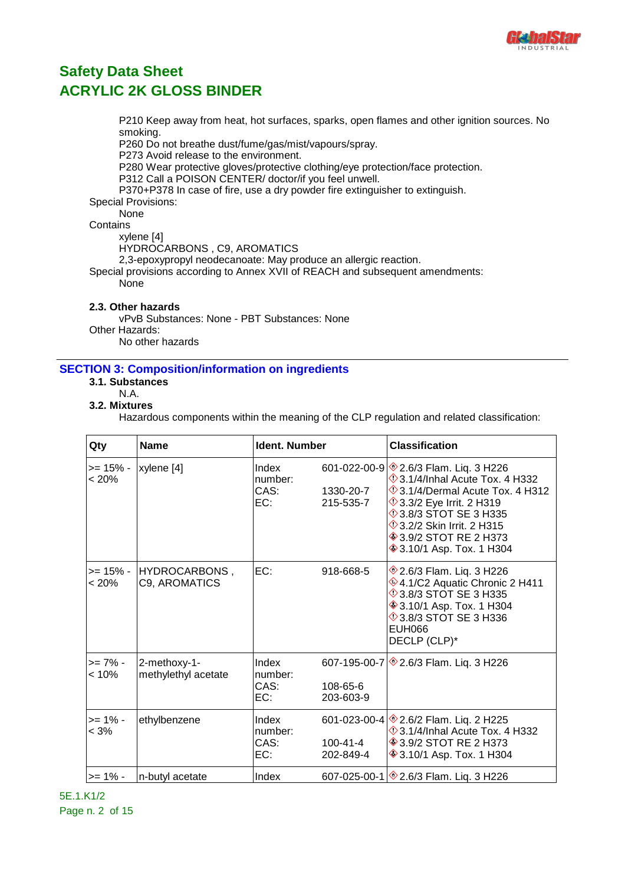

P210 Keep away from heat, hot surfaces, sparks, open flames and other ignition sources. No smoking.

P260 Do not breathe dust/fume/gas/mist/vapours/spray.

P273 Avoid release to the environment.

P280 Wear protective gloves/protective clothing/eye protection/face protection.

P312 Call a POISON CENTER/ doctor/if you feel unwell.

P370+P378 In case of fire, use a dry powder fire extinguisher to extinguish.

Special Provisions:

None

**Contains** 

xylene [4] HYDROCARBONS , C9, AROMATICS 2,3-epoxypropyl neodecanoate: May produce an allergic reaction. Special provisions according to Annex XVII of REACH and subsequent amendments: None

### **2.3. Other hazards**

vPvB Substances: None - PBT Substances: None Other Hazards: No other hazards

### **SECTION 3: Composition/information on ingredients**

- **3.1. Substances**
	- N.A.

### **3.2. Mixtures**

Hazardous components within the meaning of the CLP regulation and related classification:

| Qty                  | <b>Name</b>                         | <b>Ident. Number</b>            |                                       | <b>Classification</b>                                                                                                                                                                                                                                                                                                     |
|----------------------|-------------------------------------|---------------------------------|---------------------------------------|---------------------------------------------------------------------------------------------------------------------------------------------------------------------------------------------------------------------------------------------------------------------------------------------------------------------------|
| >= 15% -<br>$< 20\%$ | xylene [4]                          | Index<br>number:<br>CAS:<br>EC: | 1330-20-7<br>215-535-7                | 601-022-00-9 <sup>2</sup> 2.6/3 Flam. Liq. 3 H226<br>$\Diamond$ 3.1/4/Inhal Acute Tox. 4 H332<br>$\Diamond$ 3.1/4/Dermal Acute Tox. 4 H312<br><b>1</b> 3.3/2 Eye Irrit. 2 H319<br><b>1</b> 3.8/3 STOT SE 3 H335<br><b>1</b> 3.2/2 Skin Irrit. 2 H315<br><b>♦ 3.9/2 STOT RE 2 H373</b><br><b>♦ 3.10/1 Asp. Tox. 1 H304</b> |
| >= 15% -<br>$< 20\%$ | HYDROCARBONS,<br>C9, AROMATICS      | EC:                             | 918-668-5                             | <b><sup>◈</sup>2.6/3 Flam. Liq. 3 H226</b><br>♦4.1/C2 Aquatic Chronic 2 H411<br>$\lozenge$ 3.8/3 STOT SE 3 H335<br><b>♦ 3.10/1 Asp. Tox. 1 H304</b><br>$\lozenge$ 3.8/3 STOT SE 3 H336<br><b>EUH066</b><br>DECLP (CLP)*                                                                                                   |
| >= 7% -<br>$< 10\%$  | 2-methoxy-1-<br>methylethyl acetate | Index<br>number:<br>CAS:<br>EC: | 108-65-6<br>203-603-9                 | 607-195-00-7 <sup>2</sup> 2.6/3 Flam. Liq. 3 H226                                                                                                                                                                                                                                                                         |
| >= 1% -<br>$< 3\%$   | ethylbenzene                        | Index<br>number:<br>CAS:<br>EC: | 601-023-00-4<br>100-41-4<br>202-849-4 | <b><sup>◈</sup>2.6/2 Flam. Liq. 2 H225</b><br>$\Diamond$ 3.1/4/Inhal Acute Tox. 4 H332<br><b>♦ 3.9/2 STOT RE 2 H373</b><br><b>♦ 3.10/1 Asp. Tox. 1 H304</b>                                                                                                                                                               |
| $>= 1\% -$           | n-butyl acetate                     | Index                           |                                       | 607-025-00-1 \@ 2.6/3 Flam. Liq. 3 H226                                                                                                                                                                                                                                                                                   |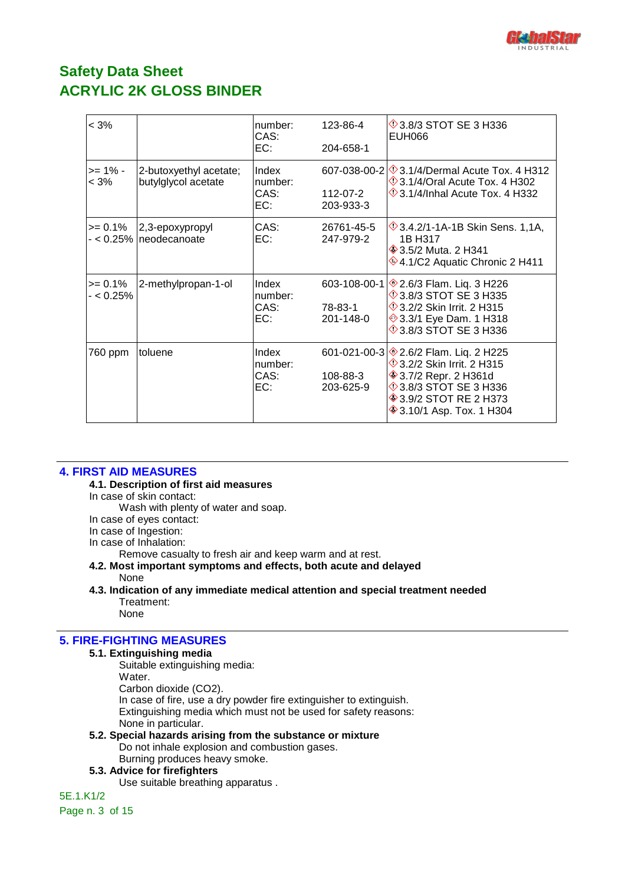

| $< 3\%$                 |                                               | number:<br>CAS:<br>EC:          | 123-86-4<br>204-658-1                 | <b>13.8/3 STOT SE 3 H336</b><br>EUH066                                                                                                                                                                        |
|-------------------------|-----------------------------------------------|---------------------------------|---------------------------------------|---------------------------------------------------------------------------------------------------------------------------------------------------------------------------------------------------------------|
| $>= 1\%$ -<br>$<$ 3%    | 2-butoxyethyl acetate;<br>butylglycol acetate | Index<br>number:<br>CAS:<br>EC: | 112-07-2<br>203-933-3                 | 607-038-00-2 $\otimes$ 3.1/4/Dermal Acute Tox. 4 H312<br>$\Diamond$ 3.1/4/Oral Acute Tox. 4 H302<br>$\Diamond$ 3.1/4/Inhal Acute Tox. 4 H332                                                                  |
| >= 0.1%<br>- < 0.25%    | 2,3-epoxypropyl<br>neodecanoate               | CAS:<br>EC:                     | 26761-45-5<br>247-979-2               | $\sqrt{$}3.4.2/1-1A-1B$ Skin Sens. 1,1A,<br>1B H317<br><b>♦ 3.5/2 Muta. 2 H341</b><br>$\textcircled{4.1/C2}$ Aquatic Chronic 2 H411                                                                           |
| $>= 0.1\%$<br>- < 0.25% | 2-methylpropan-1-ol                           | Index<br>number:<br>CAS:<br>EC: | 78-83-1<br>201-148-0                  | 603-108-00-1 \@ 2.6/3 Flam. Liq. 3 H226<br><b>13.8/3 STOT SE 3 H335</b><br><b>1</b> 3.2/2 Skin Irrit. 2 H315<br>→ 3.3/1 Eye Dam. 1 H318<br><b>13.8/3 STOT SE 3 H336</b>                                       |
| 760 ppm                 | toluene                                       | Index<br>number:<br>CAS:<br>EC: | 601-021-00-3<br>108-88-3<br>203-625-9 | <b>♦ 2.6/2 Flam. Liq. 2 H225</b><br><b>1</b> 3.2/2 Skin Irrit. 2 H315<br><b>♦ 3.7/2 Repr. 2 H361d</b><br>$\lozenge$ 3.8/3 STOT SE 3 H336<br><b>♦ 3.9/2 STOT RE 2 H373</b><br><b>♦ 3.10/1 Asp. Tox. 1 H304</b> |

## **4. FIRST AID MEASURES**

#### **4.1. Description of first aid measures**

In case of skin contact:

Wash with plenty of water and soap.

In case of eyes contact:

- In case of Ingestion:
- In case of Inhalation:

Remove casualty to fresh air and keep warm and at rest.

#### **4.2. Most important symptoms and effects, both acute and delayed** None

**4.3. Indication of any immediate medical attention and special treatment needed** Treatment:

None

### **5. FIRE-FIGHTING MEASURES**

### **5.1. Extinguishing media**

Suitable extinguishing media:

Water.

Carbon dioxide (CO2).

In case of fire, use a dry powder fire extinguisher to extinguish. Extinguishing media which must not be used for safety reasons:

None in particular.

### **5.2. Special hazards arising from the substance or mixture**

Do not inhale explosion and combustion gases.

Burning produces heavy smoke.

### **5.3. Advice for firefighters**

Use suitable breathing apparatus .

5E.1.K1/2 Page n. 3 of 15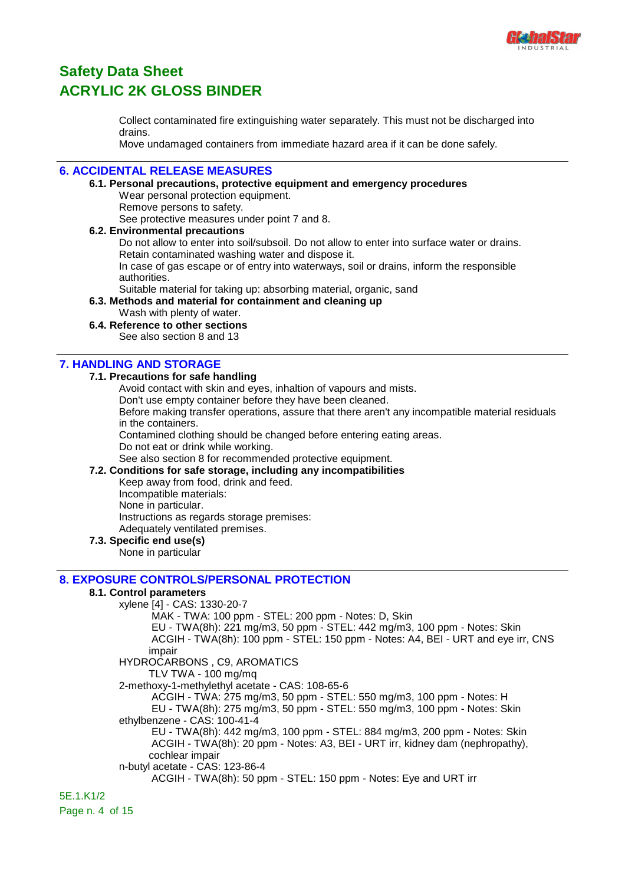

Collect contaminated fire extinguishing water separately. This must not be discharged into drains.

Move undamaged containers from immediate hazard area if it can be done safely.

### **6. ACCIDENTAL RELEASE MEASURES**

### **6.1. Personal precautions, protective equipment and emergency procedures**

Wear personal protection equipment.

Remove persons to safety.

See protective measures under point 7 and 8.

### **6.2. Environmental precautions**

Do not allow to enter into soil/subsoil. Do not allow to enter into surface water or drains. Retain contaminated washing water and dispose it.

In case of gas escape or of entry into waterways, soil or drains, inform the responsible authorities.

Suitable material for taking up: absorbing material, organic, sand

## **6.3. Methods and material for containment and cleaning up**

Wash with plenty of water.

## **6.4. Reference to other sections**

See also section 8 and 13

### **7. HANDLING AND STORAGE**

#### **7.1. Precautions for safe handling**

Avoid contact with skin and eyes, inhaltion of vapours and mists.

Don't use empty container before they have been cleaned.

Before making transfer operations, assure that there aren't any incompatible material residuals in the containers.

Contamined clothing should be changed before entering eating areas.

Do not eat or drink while working.

See also section 8 for recommended protective equipment.

#### **7.2. Conditions for safe storage, including any incompatibilities**

Keep away from food, drink and feed. Incompatible materials: None in particular. Instructions as regards storage premises: Adequately ventilated premises.

#### **7.3. Specific end use(s)**

None in particular

### **8. EXPOSURE CONTROLS/PERSONAL PROTECTION**

### **8.1. Control parameters**

xylene [4] - CAS: 1330-20-7

MAK - TWA: 100 ppm - STEL: 200 ppm - Notes: D, Skin

 EU - TWA(8h): 221 mg/m3, 50 ppm - STEL: 442 mg/m3, 100 ppm - Notes: Skin ACGIH - TWA(8h): 100 ppm - STEL: 150 ppm - Notes: A4, BEI - URT and eye irr, CNS impair

HYDROCARBONS , C9, AROMATICS

TLV TWA - 100 mg/mq

2-methoxy-1-methylethyl acetate - CAS: 108-65-6

ACGIH - TWA: 275 mg/m3, 50 ppm - STEL: 550 mg/m3, 100 ppm - Notes: H

 EU - TWA(8h): 275 mg/m3, 50 ppm - STEL: 550 mg/m3, 100 ppm - Notes: Skin ethylbenzene - CAS: 100-41-4

 EU - TWA(8h): 442 mg/m3, 100 ppm - STEL: 884 mg/m3, 200 ppm - Notes: Skin ACGIH - TWA(8h): 20 ppm - Notes: A3, BEI - URT irr, kidney dam (nephropathy), cochlear impair

n-butyl acetate - CAS: 123-86-4

ACGIH - TWA(8h): 50 ppm - STEL: 150 ppm - Notes: Eye and URT irr

5E.1.K1/2 Page n. 4 of 15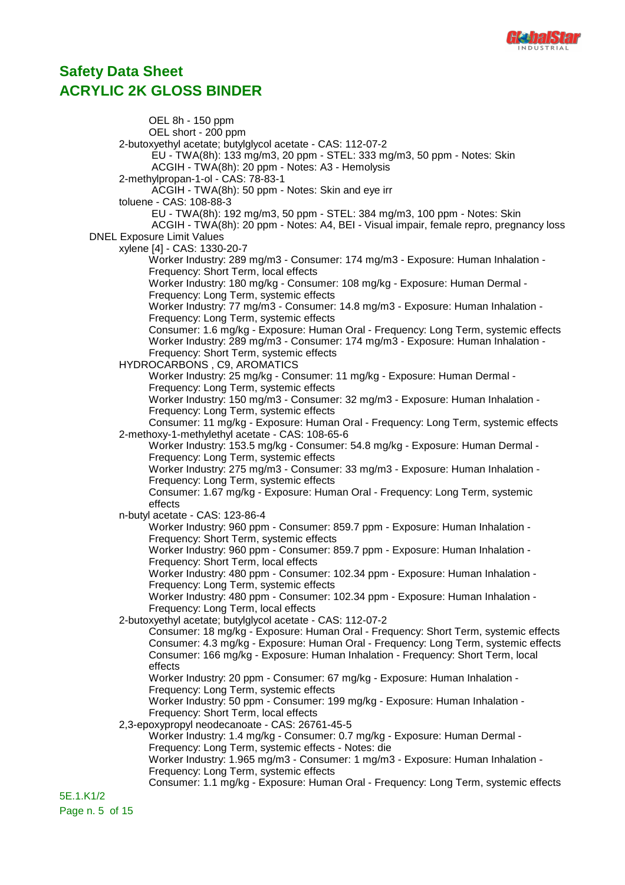OEL 8h - 150 ppm OEL short - 200 ppm 2-butoxyethyl acetate; butylglycol acetate - CAS: 112-07-2 EU - TWA(8h): 133 mg/m3, 20 ppm - STEL: 333 mg/m3, 50 ppm - Notes: Skin ACGIH - TWA(8h): 20 ppm - Notes: A3 - Hemolysis 2-methylpropan-1-ol - CAS: 78-83-1 ACGIH - TWA(8h): 50 ppm - Notes: Skin and eye irr toluene - CAS: 108-88-3 EU - TWA(8h): 192 mg/m3, 50 ppm - STEL: 384 mg/m3, 100 ppm - Notes: Skin ACGIH - TWA(8h): 20 ppm - Notes: A4, BEI - Visual impair, female repro, pregnancy loss DNEL Exposure Limit Values xylene [4] - CAS: 1330-20-7 Worker Industry: 289 mg/m3 - Consumer: 174 mg/m3 - Exposure: Human Inhalation - Frequency: Short Term, local effects Worker Industry: 180 mg/kg - Consumer: 108 mg/kg - Exposure: Human Dermal - Frequency: Long Term, systemic effects Worker Industry: 77 mg/m3 - Consumer: 14.8 mg/m3 - Exposure: Human Inhalation - Frequency: Long Term, systemic effects Consumer: 1.6 mg/kg - Exposure: Human Oral - Frequency: Long Term, systemic effects Worker Industry: 289 mg/m3 - Consumer: 174 mg/m3 - Exposure: Human Inhalation - Frequency: Short Term, systemic effects HYDROCARBONS , C9, AROMATICS Worker Industry: 25 mg/kg - Consumer: 11 mg/kg - Exposure: Human Dermal - Frequency: Long Term, systemic effects Worker Industry: 150 mg/m3 - Consumer: 32 mg/m3 - Exposure: Human Inhalation - Frequency: Long Term, systemic effects Consumer: 11 mg/kg - Exposure: Human Oral - Frequency: Long Term, systemic effects 2-methoxy-1-methylethyl acetate - CAS: 108-65-6 Worker Industry: 153.5 mg/kg - Consumer: 54.8 mg/kg - Exposure: Human Dermal - Frequency: Long Term, systemic effects Worker Industry: 275 mg/m3 - Consumer: 33 mg/m3 - Exposure: Human Inhalation - Frequency: Long Term, systemic effects Consumer: 1.67 mg/kg - Exposure: Human Oral - Frequency: Long Term, systemic effects n-butyl acetate - CAS: 123-86-4 Worker Industry: 960 ppm - Consumer: 859.7 ppm - Exposure: Human Inhalation - Frequency: Short Term, systemic effects Worker Industry: 960 ppm - Consumer: 859.7 ppm - Exposure: Human Inhalation - Frequency: Short Term, local effects Worker Industry: 480 ppm - Consumer: 102.34 ppm - Exposure: Human Inhalation - Frequency: Long Term, systemic effects Worker Industry: 480 ppm - Consumer: 102.34 ppm - Exposure: Human Inhalation - Frequency: Long Term, local effects 2-butoxyethyl acetate; butylglycol acetate - CAS: 112-07-2 Consumer: 18 mg/kg - Exposure: Human Oral - Frequency: Short Term, systemic effects Consumer: 4.3 mg/kg - Exposure: Human Oral - Frequency: Long Term, systemic effects Consumer: 166 mg/kg - Exposure: Human Inhalation - Frequency: Short Term, local effects Worker Industry: 20 ppm - Consumer: 67 mg/kg - Exposure: Human Inhalation - Frequency: Long Term, systemic effects Worker Industry: 50 ppm - Consumer: 199 mg/kg - Exposure: Human Inhalation - Frequency: Short Term, local effects 2,3-epoxypropyl neodecanoate - CAS: 26761-45-5 Worker Industry: 1.4 mg/kg - Consumer: 0.7 mg/kg - Exposure: Human Dermal - Frequency: Long Term, systemic effects - Notes: die Worker Industry: 1.965 mg/m3 - Consumer: 1 mg/m3 - Exposure: Human Inhalation - Frequency: Long Term, systemic effects Consumer: 1.1 mg/kg - Exposure: Human Oral - Frequency: Long Term, systemic effects 5E.1.K1/2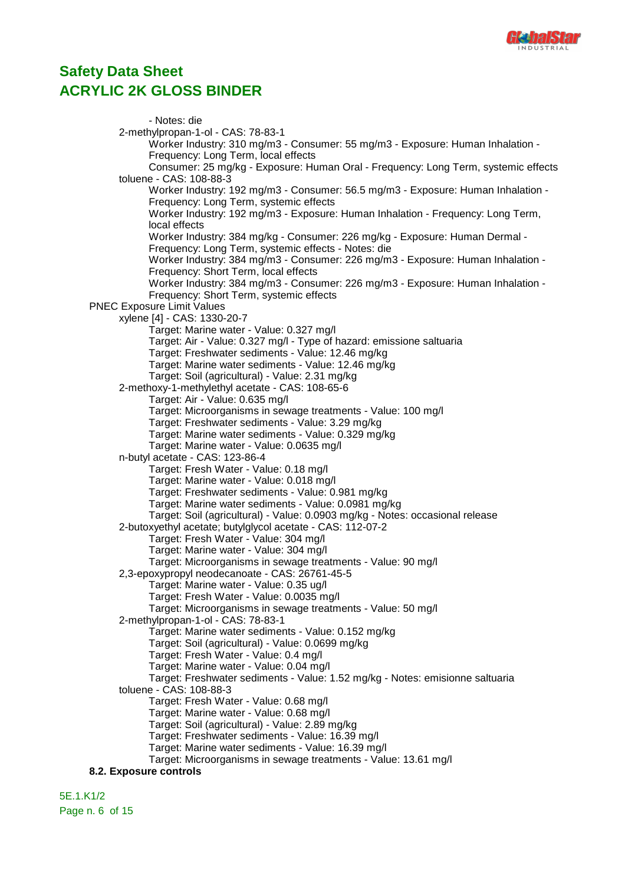

- Notes: die 2-methylpropan-1-ol - CAS: 78-83-1 Worker Industry: 310 mg/m3 - Consumer: 55 mg/m3 - Exposure: Human Inhalation - Frequency: Long Term, local effects Consumer: 25 mg/kg - Exposure: Human Oral - Frequency: Long Term, systemic effects toluene - CAS: 108-88-3 Worker Industry: 192 mg/m3 - Consumer: 56.5 mg/m3 - Exposure: Human Inhalation - Frequency: Long Term, systemic effects Worker Industry: 192 mg/m3 - Exposure: Human Inhalation - Frequency: Long Term, local effects Worker Industry: 384 mg/kg - Consumer: 226 mg/kg - Exposure: Human Dermal - Frequency: Long Term, systemic effects - Notes: die Worker Industry: 384 mg/m3 - Consumer: 226 mg/m3 - Exposure: Human Inhalation - Frequency: Short Term, local effects Worker Industry: 384 mg/m3 - Consumer: 226 mg/m3 - Exposure: Human Inhalation - Frequency: Short Term, systemic effects PNEC Exposure Limit Values xylene [4] - CAS: 1330-20-7 Target: Marine water - Value: 0.327 mg/l Target: Air - Value: 0.327 mg/l - Type of hazard: emissione saltuaria Target: Freshwater sediments - Value: 12.46 mg/kg Target: Marine water sediments - Value: 12.46 mg/kg Target: Soil (agricultural) - Value: 2.31 mg/kg 2-methoxy-1-methylethyl acetate - CAS: 108-65-6 Target: Air - Value: 0.635 mg/l Target: Microorganisms in sewage treatments - Value: 100 mg/l Target: Freshwater sediments - Value: 3.29 mg/kg Target: Marine water sediments - Value: 0.329 mg/kg Target: Marine water - Value: 0.0635 mg/l n-butyl acetate - CAS: 123-86-4 Target: Fresh Water - Value: 0.18 mg/l Target: Marine water - Value: 0.018 mg/l Target: Freshwater sediments - Value: 0.981 mg/kg Target: Marine water sediments - Value: 0.0981 mg/kg Target: Soil (agricultural) - Value: 0.0903 mg/kg - Notes: occasional release 2-butoxyethyl acetate; butylglycol acetate - CAS: 112-07-2 Target: Fresh Water - Value: 304 mg/l Target: Marine water - Value: 304 mg/l Target: Microorganisms in sewage treatments - Value: 90 mg/l 2,3-epoxypropyl neodecanoate - CAS: 26761-45-5 Target: Marine water - Value: 0.35 ug/l Target: Fresh Water - Value: 0.0035 mg/l Target: Microorganisms in sewage treatments - Value: 50 mg/l 2-methylpropan-1-ol - CAS: 78-83-1 Target: Marine water sediments - Value: 0.152 mg/kg Target: Soil (agricultural) - Value: 0.0699 mg/kg Target: Fresh Water - Value: 0.4 mg/l Target: Marine water - Value: 0.04 mg/l Target: Freshwater sediments - Value: 1.52 mg/kg - Notes: emisionne saltuaria toluene - CAS: 108-88-3 Target: Fresh Water - Value: 0.68 mg/l Target: Marine water - Value: 0.68 mg/l Target: Soil (agricultural) - Value: 2.89 mg/kg Target: Freshwater sediments - Value: 16.39 mg/l Target: Marine water sediments - Value: 16.39 mg/l Target: Microorganisms in sewage treatments - Value: 13.61 mg/l

**8.2. Exposure controls**

5E.1.K1/2 Page n. 6 of 15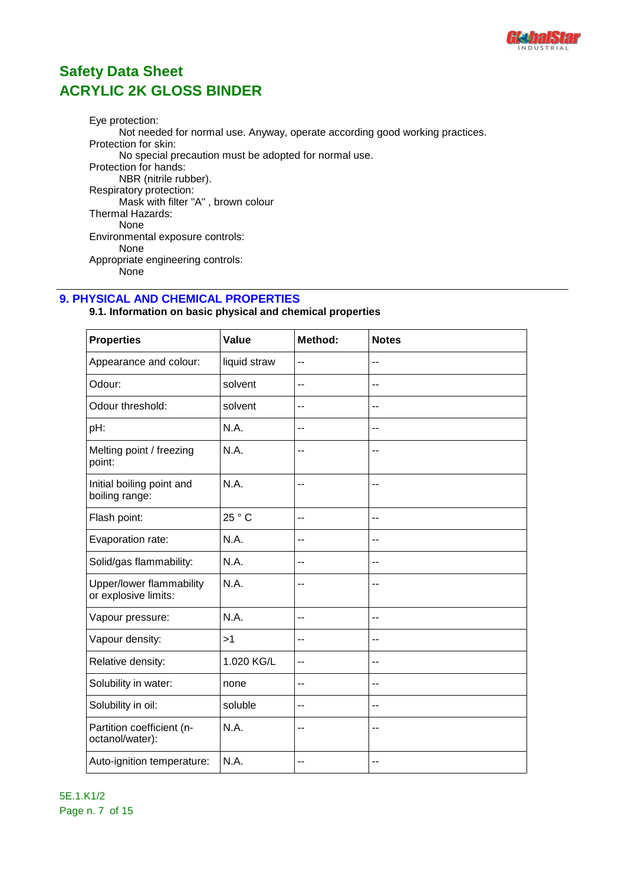

Eye protection: Not needed for normal use. Anyway, operate according good working practices. Protection for skin: No special precaution must be adopted for normal use. Protection for hands: NBR (nitrile rubber). Respiratory protection: Mask with filter "A" , brown colour Thermal Hazards: None Environmental exposure controls: None Appropriate engineering controls: **None** 

## **9. PHYSICAL AND CHEMICAL PROPERTIES**

### **9.1. Information on basic physical and chemical properties**

| <b>Properties</b>                                | Value        | Method: | <b>Notes</b>             |
|--------------------------------------------------|--------------|---------|--------------------------|
| Appearance and colour:                           | liquid straw | $-1$    | $-$                      |
| Odour:                                           | solvent      | $-$     | $-$                      |
| Odour threshold:                                 | solvent      | --      | $\sim$                   |
| pH:                                              | N.A.         | --      | $\sim$                   |
| Melting point / freezing<br>point:               | N.A.         | $-$     | $\sim$                   |
| Initial boiling point and<br>boiling range:      | N.A.         | --      | $\sim$                   |
| Flash point:                                     | 25 ° C       | --      | $\overline{\phantom{a}}$ |
| Evaporation rate:                                | N.A.         | --      | $\overline{\phantom{a}}$ |
| Solid/gas flammability:                          | N.A.         | --      | --                       |
| Upper/lower flammability<br>or explosive limits: | N.A.         | --      | --                       |
| Vapour pressure:                                 | N.A.         | --      | $\overline{\phantom{a}}$ |
| Vapour density:                                  | >1           | --      | $\overline{\phantom{a}}$ |
| Relative density:                                | 1.020 KG/L   | --      | --                       |
| Solubility in water:                             | none         | --      | $\overline{\phantom{a}}$ |
| Solubility in oil:                               | soluble      | --      | --                       |
| Partition coefficient (n-<br>octanol/water):     | N.A.         | --      | --                       |
| Auto-ignition temperature:                       | N.A.         | --      | --                       |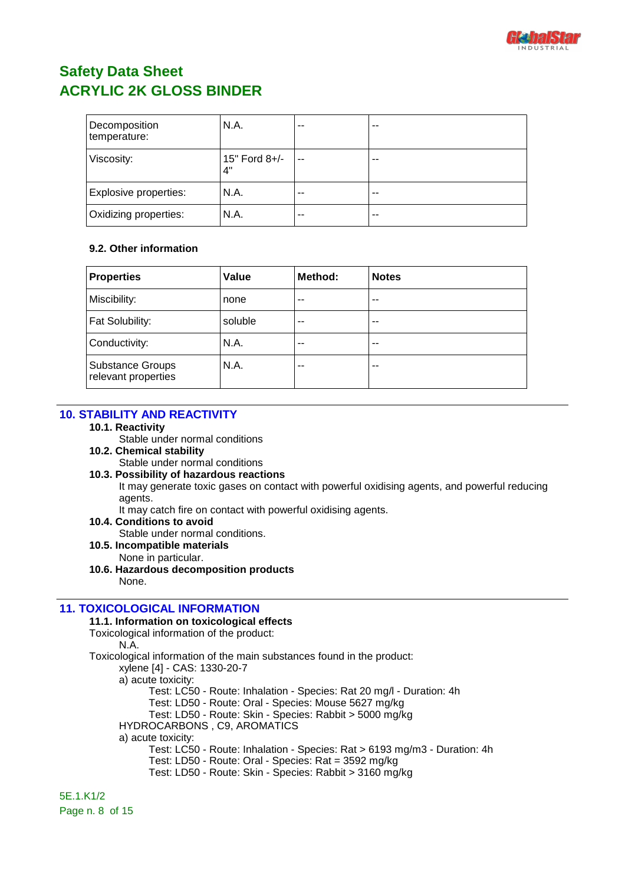

| Decomposition<br>temperature: | N.A.                   | $-$                      | $-$   |
|-------------------------------|------------------------|--------------------------|-------|
| Viscosity:                    | $15"$ Ford $8+/$<br>4" | $\overline{\phantom{a}}$ | $- -$ |
| Explosive properties:         | N.A.                   | $-$                      | $- -$ |
| Oxidizing properties:         | N.A.                   | $-$                      | $-$   |

### **9.2. Other information**

| <b>Properties</b>                              | Value   | Method: | <b>Notes</b> |
|------------------------------------------------|---------|---------|--------------|
| Miscibility:                                   | none    | $-$     | --           |
| Fat Solubility:                                | soluble | --      | --           |
| Conductivity:                                  | N.A.    | $-$     | $- -$        |
| <b>Substance Groups</b><br>relevant properties | N.A.    | $-$     | $- -$        |

## **10. STABILITY AND REACTIVITY**

#### **10.1. Reactivity**

Stable under normal conditions

**10.2. Chemical stability** Stable under normal conditions

#### **10.3. Possibility of hazardous reactions**

It may generate toxic gases on contact with powerful oxidising agents, and powerful reducing agents.

- It may catch fire on contact with powerful oxidising agents.
- **10.4. Conditions to avoid**
	- Stable under normal conditions.
- **10.5. Incompatible materials**
- None in particular. **10.6. Hazardous decomposition products**

#### None.

## **11. TOXICOLOGICAL INFORMATION**

**11.1. Information on toxicological effects** Toxicological information of the product: N.A. Toxicological information of the main substances found in the product: xylene [4] - CAS: 1330-20-7 a) acute toxicity: Test: LC50 - Route: Inhalation - Species: Rat 20 mg/l - Duration: 4h Test: LD50 - Route: Oral - Species: Mouse 5627 mg/kg Test: LD50 - Route: Skin - Species: Rabbit > 5000 mg/kg HYDROCARBONS , C9, AROMATICS a) acute toxicity: Test: LC50 - Route: Inhalation - Species: Rat > 6193 mg/m3 - Duration: 4h Test: LD50 - Route: Oral - Species: Rat = 3592 mg/kg Test: LD50 - Route: Skin - Species: Rabbit > 3160 mg/kg

## 5E.1.K1/2 Page n. 8 of 15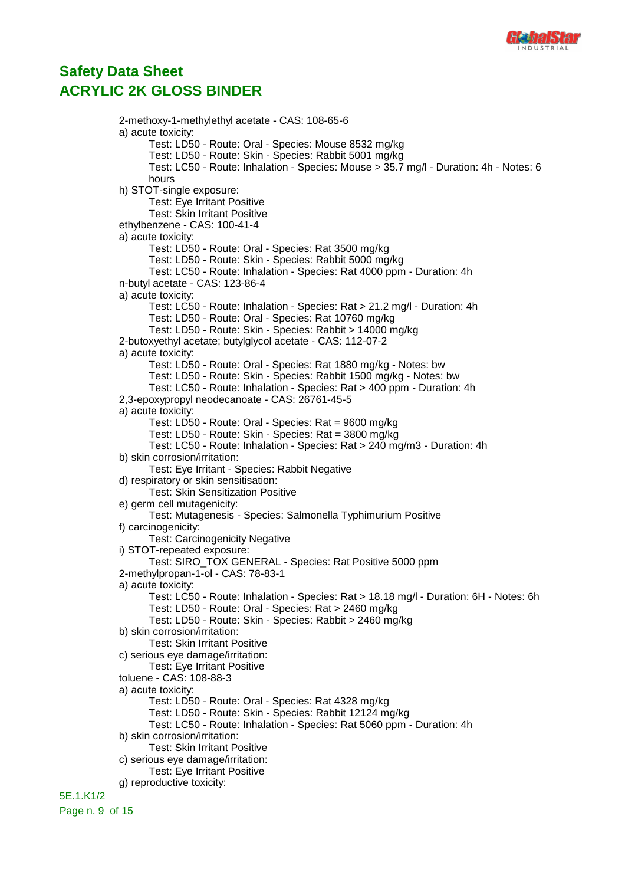

2-methoxy-1-methylethyl acetate - CAS: 108-65-6 a) acute toxicity: Test: LD50 - Route: Oral - Species: Mouse 8532 mg/kg Test: LD50 - Route: Skin - Species: Rabbit 5001 mg/kg Test: LC50 - Route: Inhalation - Species: Mouse > 35.7 mg/l - Duration: 4h - Notes: 6 hours h) STOT-single exposure: Test: Eye Irritant Positive Test: Skin Irritant Positive ethylbenzene - CAS: 100-41-4 a) acute toxicity: Test: LD50 - Route: Oral - Species: Rat 3500 mg/kg Test: LD50 - Route: Skin - Species: Rabbit 5000 mg/kg Test: LC50 - Route: Inhalation - Species: Rat 4000 ppm - Duration: 4h n-butyl acetate - CAS: 123-86-4 a) acute toxicity: Test: LC50 - Route: Inhalation - Species: Rat > 21.2 mg/l - Duration: 4h Test: LD50 - Route: Oral - Species: Rat 10760 mg/kg Test: LD50 - Route: Skin - Species: Rabbit > 14000 mg/kg 2-butoxyethyl acetate; butylglycol acetate - CAS: 112-07-2 a) acute toxicity: Test: LD50 - Route: Oral - Species: Rat 1880 mg/kg - Notes: bw Test: LD50 - Route: Skin - Species: Rabbit 1500 mg/kg - Notes: bw Test: LC50 - Route: Inhalation - Species: Rat > 400 ppm - Duration: 4h 2,3-epoxypropyl neodecanoate - CAS: 26761-45-5 a) acute toxicity: Test: LD50 - Route: Oral - Species: Rat = 9600 mg/kg Test: LD50 - Route: Skin - Species: Rat = 3800 mg/kg Test: LC50 - Route: Inhalation - Species: Rat > 240 mg/m3 - Duration: 4h b) skin corrosion/irritation: Test: Eye Irritant - Species: Rabbit Negative d) respiratory or skin sensitisation: Test: Skin Sensitization Positive e) germ cell mutagenicity: Test: Mutagenesis - Species: Salmonella Typhimurium Positive f) carcinogenicity: Test: Carcinogenicity Negative i) STOT-repeated exposure: Test: SIRO\_TOX GENERAL - Species: Rat Positive 5000 ppm 2-methylpropan-1-ol - CAS: 78-83-1 a) acute toxicity: Test: LC50 - Route: Inhalation - Species: Rat > 18.18 mg/l - Duration: 6H - Notes: 6h Test: LD50 - Route: Oral - Species: Rat > 2460 mg/kg Test: LD50 - Route: Skin - Species: Rabbit > 2460 mg/kg b) skin corrosion/irritation: Test: Skin Irritant Positive c) serious eye damage/irritation: Test: Eye Irritant Positive toluene - CAS: 108-88-3 a) acute toxicity: Test: LD50 - Route: Oral - Species: Rat 4328 mg/kg Test: LD50 - Route: Skin - Species: Rabbit 12124 mg/kg Test: LC50 - Route: Inhalation - Species: Rat 5060 ppm - Duration: 4h b) skin corrosion/irritation: Test: Skin Irritant Positive c) serious eye damage/irritation: Test: Eye Irritant Positive g) reproductive toxicity:

Page n. 9 of 15

5E.1.K1/2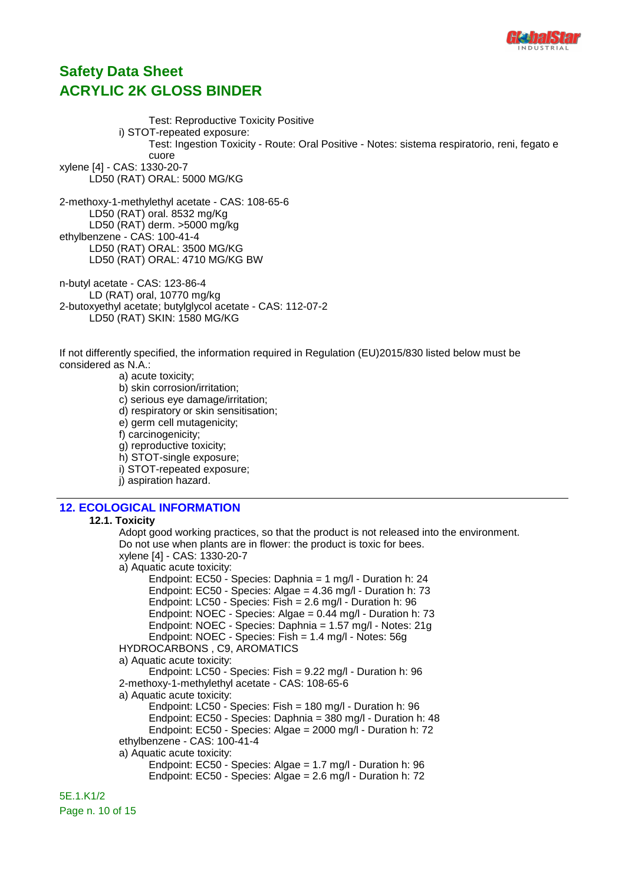

Test: Reproductive Toxicity Positive i) STOT-repeated exposure: Test: Ingestion Toxicity - Route: Oral Positive - Notes: sistema respiratorio, reni, fegato e cuore xylene [4] - CAS: 1330-20-7 LD50 (RAT) ORAL: 5000 MG/KG 2-methoxy-1-methylethyl acetate - CAS: 108-65-6 LD50 (RAT) oral. 8532 mg/Kg

LD50 (RAT) derm. >5000 mg/kg ethylbenzene - CAS: 100-41-4 LD50 (RAT) ORAL: 3500 MG/KG LD50 (RAT) ORAL: 4710 MG/KG BW

n-butyl acetate - CAS: 123-86-4 LD (RAT) oral, 10770 mg/kg 2-butoxyethyl acetate; butylglycol acetate - CAS: 112-07-2 LD50 (RAT) SKIN: 1580 MG/KG

If not differently specified, the information required in Regulation (EU)2015/830 listed below must be considered as N.A.:

a) acute toxicity; b) skin corrosion/irritation; c) serious eye damage/irritation; d) respiratory or skin sensitisation; e) germ cell mutagenicity; f) carcinogenicity; g) reproductive toxicity; h) STOT-single exposure; i) STOT-repeated exposure; i) aspiration hazard.

## **12. ECOLOGICAL INFORMATION**

### **12.1. Toxicity**

Adopt good working practices, so that the product is not released into the environment. Do not use when plants are in flower: the product is toxic for bees. xylene [4] - CAS: 1330-20-7 a) Aquatic acute toxicity: Endpoint: EC50 - Species: Daphnia = 1 mg/l - Duration h: 24

```
Endpoint: EC50 - Species: Algae = 4.36 mg/l - Duration h: 73
      Endpoint: LC50 - Species: Fish = 2.6 mg/l - Duration h: 96
      Endpoint: NOEC - Species: Algae = 0.44 mg/l - Duration h: 73
      Endpoint: NOEC - Species: Daphnia = 1.57 mg/l - Notes: 21g
      Endpoint: NOEC - Species: Fish = 1.4 mg/l - Notes: 56g
HYDROCARBONS , C9, AROMATICS
a) Aquatic acute toxicity:
      Endpoint: LC50 - Species: Fish = 9.22 mg/l - Duration h: 96
2-methoxy-1-methylethyl acetate - CAS: 108-65-6
a) Aquatic acute toxicity:
      Endpoint: LC50 - Species: Fish = 180 mg/l - Duration h: 96
      Endpoint: EC50 - Species: Daphnia = 380 mg/l - Duration h: 48
      Endpoint: EC50 - Species: Algae = 2000 mg/l - Duration h: 72
ethylbenzene - CAS: 100-41-4
a) Aquatic acute toxicity:
      Endpoint: EC50 - Species: Algae = 1.7 mg/l - Duration h: 96
      Endpoint: EC50 - Species: Algae = 2.6 mg/l - Duration h: 72
```
5E.1.K1/2 Page n. 10 of 15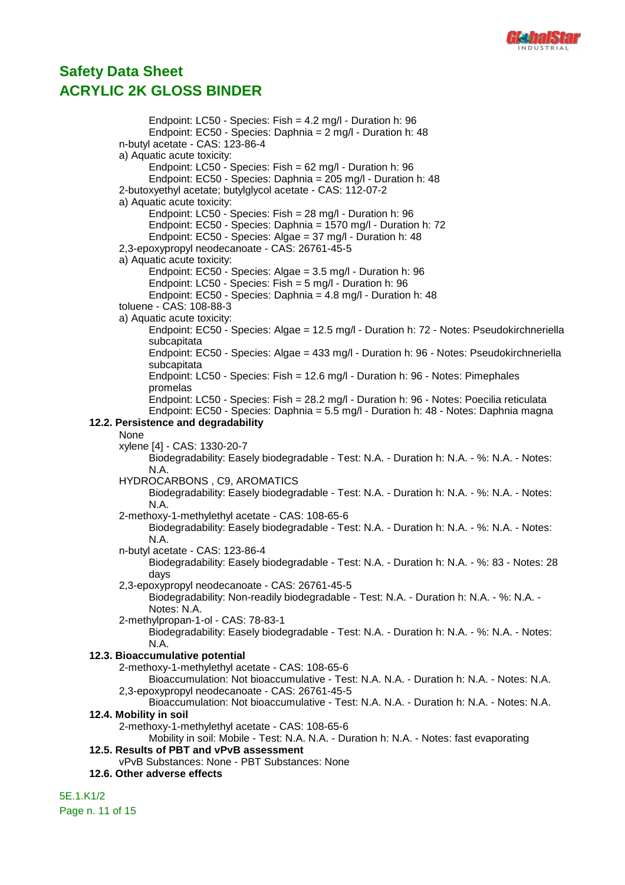

Endpoint: LC50 - Species: Fish = 4.2 mg/l - Duration h: 96 Endpoint: EC50 - Species: Daphnia = 2 mg/l - Duration h: 48 n-butyl acetate - CAS: 123-86-4 a) Aquatic acute toxicity: Endpoint: LC50 - Species: Fish = 62 mg/l - Duration h: 96 Endpoint: EC50 - Species: Daphnia = 205 mg/l - Duration h: 48 2-butoxyethyl acetate; butylglycol acetate - CAS: 112-07-2 a) Aquatic acute toxicity: Endpoint: LC50 - Species: Fish = 28 mg/l - Duration h: 96 Endpoint: EC50 - Species: Daphnia = 1570 mg/l - Duration h: 72 Endpoint: EC50 - Species: Algae = 37 mg/l - Duration h: 48 2,3-epoxypropyl neodecanoate - CAS: 26761-45-5 a) Aquatic acute toxicity: Endpoint: EC50 - Species: Algae = 3.5 mg/l - Duration h: 96 Endpoint: LC50 - Species: Fish = 5 mg/l - Duration h: 96 Endpoint: EC50 - Species: Daphnia = 4.8 mg/l - Duration h: 48 toluene - CAS: 108-88-3 a) Aquatic acute toxicity: Endpoint: EC50 - Species: Algae = 12.5 mg/l - Duration h: 72 - Notes: Pseudokirchneriella subcapitata Endpoint: EC50 - Species: Algae = 433 mg/l - Duration h: 96 - Notes: Pseudokirchneriella subcapitata Endpoint: LC50 - Species: Fish = 12.6 mg/l - Duration h: 96 - Notes: Pimephales promelas Endpoint: LC50 - Species: Fish = 28.2 mg/l - Duration h: 96 - Notes: Poecilia reticulata Endpoint: EC50 - Species: Daphnia = 5.5 mg/l - Duration h: 48 - Notes: Daphnia magna **12.2. Persistence and degradability** None xylene [4] - CAS: 1330-20-7 Biodegradability: Easely biodegradable - Test: N.A. - Duration h: N.A. - %: N.A. - Notes: N.A. HYDROCARBONS , C9, AROMATICS Biodegradability: Easely biodegradable - Test: N.A. - Duration h: N.A. - %: N.A. - Notes: N.A. 2-methoxy-1-methylethyl acetate - CAS: 108-65-6 Biodegradability: Easely biodegradable - Test: N.A. - Duration h: N.A. - %: N.A. - Notes: N.A. n-butyl acetate - CAS: 123-86-4 Biodegradability: Easely biodegradable - Test: N.A. - Duration h: N.A. - %: 83 - Notes: 28 days 2,3-epoxypropyl neodecanoate - CAS: 26761-45-5 Biodegradability: Non-readily biodegradable - Test: N.A. - Duration h: N.A. - %: N.A. - Notes: N.A. 2-methylpropan-1-ol - CAS: 78-83-1 Biodegradability: Easely biodegradable - Test: N.A. - Duration h: N.A. - %: N.A. - Notes: N.A. **12.3. Bioaccumulative potential** 2-methoxy-1-methylethyl acetate - CAS: 108-65-6 Bioaccumulation: Not bioaccumulative - Test: N.A. N.A. - Duration h: N.A. - Notes: N.A. 2,3-epoxypropyl neodecanoate - CAS: 26761-45-5 Bioaccumulation: Not bioaccumulative - Test: N.A. N.A. - Duration h: N.A. - Notes: N.A. **12.4. Mobility in soil** 2-methoxy-1-methylethyl acetate - CAS: 108-65-6 Mobility in soil: Mobile - Test: N.A. N.A. - Duration h: N.A. - Notes: fast evaporating **12.5. Results of PBT and vPvB assessment** vPvB Substances: None - PBT Substances: None **12.6. Other adverse effects** 5E.1.K1/2

Page n. 11 of 15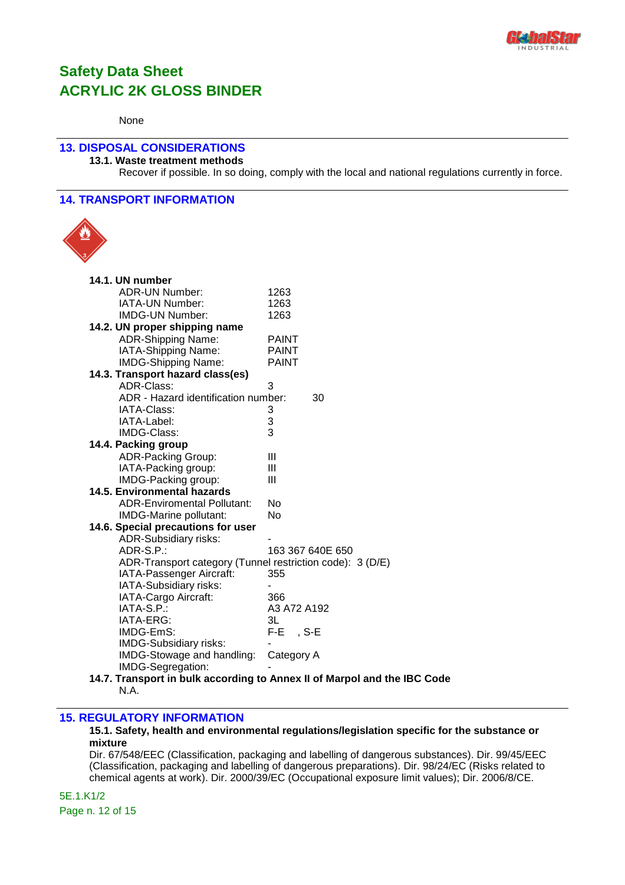

#### None

### **13. DISPOSAL CONSIDERATIONS**

**13.1. Waste treatment methods**

Recover if possible. In so doing, comply with the local and national regulations currently in force.

### **14. TRANSPORT INFORMATION**



| 14.1. UN number                                           |                                                                          |
|-----------------------------------------------------------|--------------------------------------------------------------------------|
| <b>ADR-UN Number:</b>                                     | 1263                                                                     |
| IATA-UN Number:                                           | 1263                                                                     |
| IMDG-UN Number:                                           | 1263                                                                     |
| 14.2. UN proper shipping name                             |                                                                          |
| ADR-Shipping Name:                                        | <b>PAINT</b>                                                             |
| IATA-Shipping Name:                                       | <b>PAINT</b>                                                             |
| <b>IMDG-Shipping Name:</b>                                | <b>PAINT</b>                                                             |
| 14.3. Transport hazard class(es)                          |                                                                          |
| ADR-Class:                                                | 3                                                                        |
| ADR - Hazard identification number:                       | 30                                                                       |
| IATA-Class:                                               | 3                                                                        |
| IATA-Label:                                               | 3                                                                        |
| IMDG-Class:                                               | 3                                                                        |
| 14.4. Packing group                                       |                                                                          |
| <b>ADR-Packing Group:</b>                                 | Ш                                                                        |
| IATA-Packing group:                                       | Ш                                                                        |
| IMDG-Packing group:                                       | Ш                                                                        |
| <b>14.5. Environmental hazards</b>                        |                                                                          |
| <b>ADR-Enviromental Pollutant:</b>                        | No                                                                       |
| IMDG-Marine pollutant:                                    | No                                                                       |
| 14.6. Special precautions for user                        |                                                                          |
| <b>ADR-Subsidiary risks:</b>                              |                                                                          |
| $ADR-S.P.$ :                                              | 163 367 640E 650                                                         |
| ADR-Transport category (Tunnel restriction code): 3 (D/E) |                                                                          |
| IATA-Passenger Aircraft:                                  | 355                                                                      |
| IATA-Subsidiary risks:                                    |                                                                          |
| IATA-Cargo Aircraft:                                      | 366                                                                      |
| IATA-S.P.:                                                | A3 A72 A192                                                              |
| IATA-ERG:                                                 | 3L                                                                       |
| IMDG-EmS:                                                 | F-E<br>$S-E$                                                             |
| <b>IMDG-Subsidiary risks:</b>                             |                                                                          |
| IMDG-Stowage and handling:                                | Category A                                                               |
| IMDG-Segregation:                                         |                                                                          |
|                                                           | 14.7. Transport in bulk according to Annex II of Marpol and the IBC Code |
| N.A.                                                      |                                                                          |

### **15. REGULATORY INFORMATION**

### **15.1. Safety, health and environmental regulations/legislation specific for the substance or mixture**

Dir. 67/548/EEC (Classification, packaging and labelling of dangerous substances). Dir. 99/45/EEC (Classification, packaging and labelling of dangerous preparations). Dir. 98/24/EC (Risks related to chemical agents at work). Dir. 2000/39/EC (Occupational exposure limit values); Dir. 2006/8/CE.

5E.1.K1/2 Page n. 12 of 15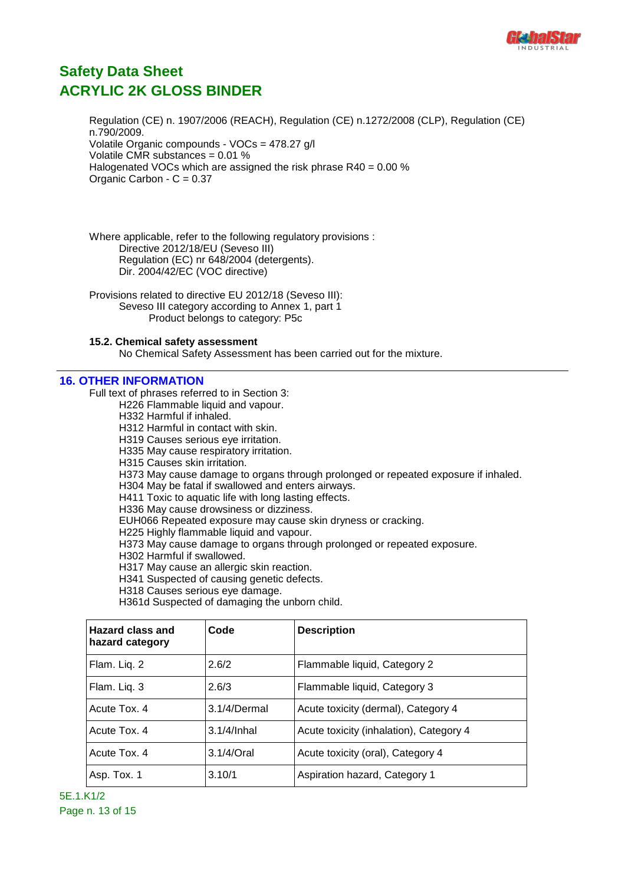

Regulation (CE) n. 1907/2006 (REACH), Regulation (CE) n.1272/2008 (CLP), Regulation (CE) n.790/2009. Volatile Organic compounds - VOCs = 478.27 g/l Volatile CMR substances = 0.01 % Halogenated VOCs which are assigned the risk phrase R40 = 0.00 % Organic Carbon - C = 0.37

Where applicable, refer to the following regulatory provisions : Directive 2012/18/EU (Seveso III) Regulation (EC) nr 648/2004 (detergents). Dir. 2004/42/EC (VOC directive)

Provisions related to directive EU 2012/18 (Seveso III): Seveso III category according to Annex 1, part 1 Product belongs to category: P5c

#### **15.2. Chemical safety assessment**

No Chemical Safety Assessment has been carried out for the mixture.

### **16. OTHER INFORMATION**

Full text of phrases referred to in Section 3:

H226 Flammable liquid and vapour.

H332 Harmful if inhaled.

H312 Harmful in contact with skin.

H319 Causes serious eye irritation.

H335 May cause respiratory irritation.

H315 Causes skin irritation.

H373 May cause damage to organs through prolonged or repeated exposure if inhaled.

H304 May be fatal if swallowed and enters airways.

H411 Toxic to aquatic life with long lasting effects.

H336 May cause drowsiness or dizziness.

EUH066 Repeated exposure may cause skin dryness or cracking.

H225 Highly flammable liquid and vapour.

H373 May cause damage to organs through prolonged or repeated exposure.

H302 Harmful if swallowed.

H317 May cause an allergic skin reaction.

H341 Suspected of causing genetic defects.

H318 Causes serious eye damage.

H361d Suspected of damaging the unborn child.

| Hazard class and<br>hazard category | Code           | <b>Description</b>                      |
|-------------------------------------|----------------|-----------------------------------------|
| Flam. Liq. 2                        | 2.6/2          | Flammable liquid, Category 2            |
| Flam. Liq. 3                        | 2.6/3          | Flammable liquid, Category 3            |
| Acute Tox, 4                        | 3.1/4/Dermal   | Acute toxicity (dermal), Category 4     |
| Acute Tox, 4                        | $3.1/4$ /Inhal | Acute toxicity (inhalation), Category 4 |
| Acute Tox, 4                        | $3.1/4$ /Oral  | Acute toxicity (oral), Category 4       |
| Asp. Tox. 1                         | 3.10/1         | Aspiration hazard, Category 1           |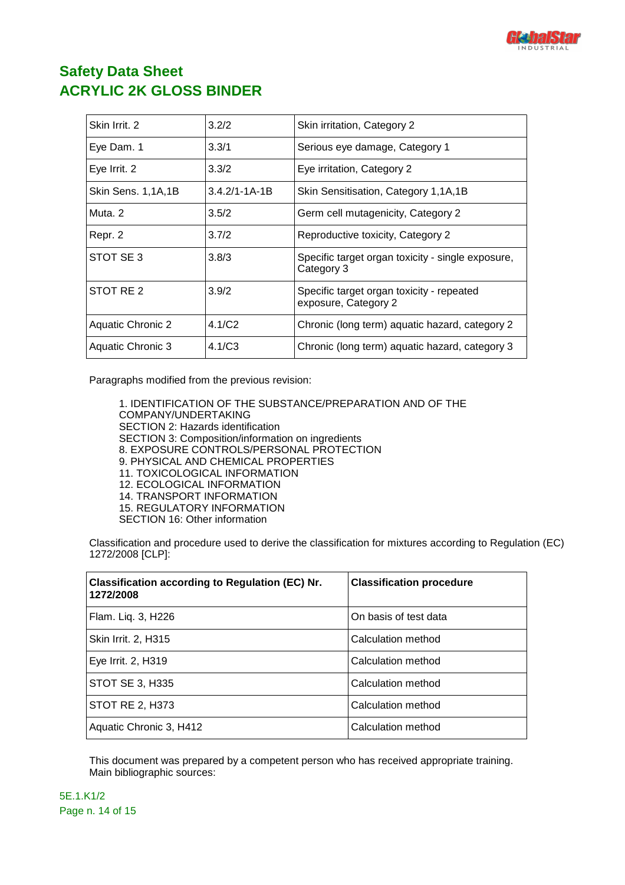

| Skin Irrit. 2            | 3.2/2               | Skin irritation, Category 2                                       |
|--------------------------|---------------------|-------------------------------------------------------------------|
| Eye Dam. 1               | 3.3/1               | Serious eye damage, Category 1                                    |
| Eye Irrit. 2             | 3.3/2               | Eye irritation, Category 2                                        |
| Skin Sens. 1,1A,1B       | $3.4.2/1 - 1A - 1B$ | Skin Sensitisation, Category 1,1A,1B                              |
| Muta, 2                  | 3.5/2               | Germ cell mutagenicity, Category 2                                |
| Repr. 2                  | 3.7/2               | Reproductive toxicity, Category 2                                 |
| STOT SE3                 | 3.8/3               | Specific target organ toxicity - single exposure,<br>Category 3   |
| STOT RE 2                | 3.9/2               | Specific target organ toxicity - repeated<br>exposure, Category 2 |
| <b>Aquatic Chronic 2</b> | 4.1/C <sub>2</sub>  | Chronic (long term) aquatic hazard, category 2                    |
| Aquatic Chronic 3        | 4.1/C3              | Chronic (long term) aquatic hazard, category 3                    |

Paragraphs modified from the previous revision:

1. IDENTIFICATION OF THE SUBSTANCE/PREPARATION AND OF THE COMPANY/UNDERTAKING SECTION 2: Hazards identification SECTION 3: Composition/information on ingredients 8. EXPOSURE CONTROLS/PERSONAL PROTECTION 9. PHYSICAL AND CHEMICAL PROPERTIES 11. TOXICOLOGICAL INFORMATION 12. ECOLOGICAL INFORMATION 14. TRANSPORT INFORMATION 15. REGULATORY INFORMATION SECTION 16: Other information

Classification and procedure used to derive the classification for mixtures according to Regulation (EC) 1272/2008 [CLP]:

| <b>Classification according to Regulation (EC) Nr.</b><br>1272/2008 | <b>Classification procedure</b> |
|---------------------------------------------------------------------|---------------------------------|
| Flam. Liq. 3, H226                                                  | On basis of test data           |
| Skin Irrit. 2, H315                                                 | Calculation method              |
| Eye Irrit. 2, H319                                                  | Calculation method              |
| STOT SE 3, H335                                                     | Calculation method              |
| <b>STOT RE 2, H373</b>                                              | Calculation method              |
| Aquatic Chronic 3, H412                                             | Calculation method              |

This document was prepared by a competent person who has received appropriate training. Main bibliographic sources:

5E.1.K1/2 Page n. 14 of 15